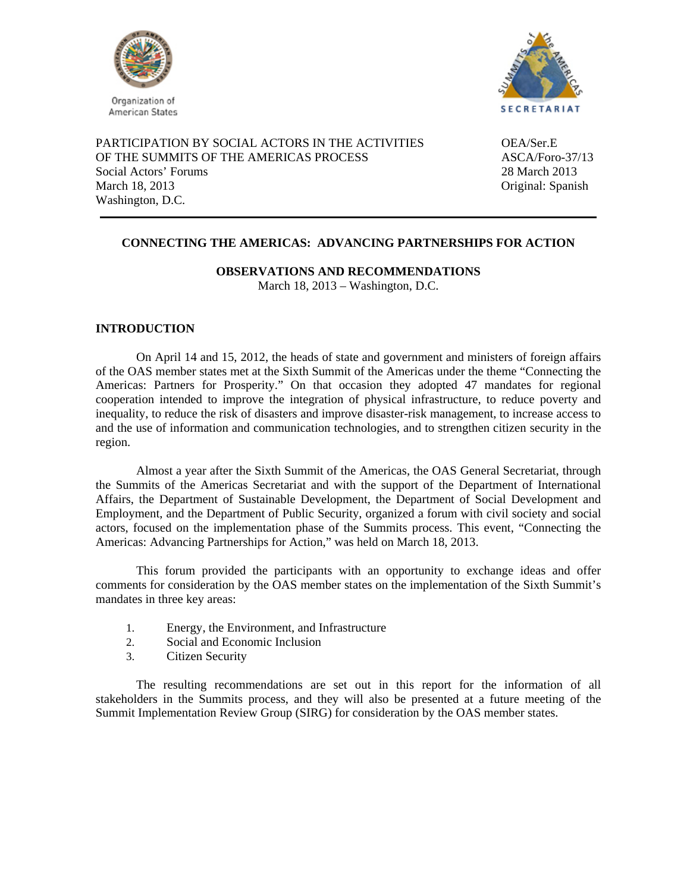



PARTICIPATION BY SOCIAL ACTORS IN THE ACTIVITIES OEA/Ser.E OF THE SUMMITS OF THE AMERICAS PROCESS ASCA/Foro-37/13 Social Actors' Forums 28 March 2013 March 18, 2013 Original: Spanish Washington, D.C.

# **CONNECTING THE AMERICAS: ADVANCING PARTNERSHIPS FOR ACTION**

**OBSERVATIONS AND RECOMMENDATIONS** 

March 18, 2013 – Washington, D.C.

## **INTRODUCTION**

On April 14 and 15, 2012, the heads of state and government and ministers of foreign affairs of the OAS member states met at the Sixth Summit of the Americas under the theme "Connecting the Americas: Partners for Prosperity." On that occasion they adopted 47 mandates for regional cooperation intended to improve the integration of physical infrastructure, to reduce poverty and inequality, to reduce the risk of disasters and improve disaster-risk management, to increase access to and the use of information and communication technologies, and to strengthen citizen security in the region.

Almost a year after the Sixth Summit of the Americas, the OAS General Secretariat, through the Summits of the Americas Secretariat and with the support of the Department of International Affairs, the Department of Sustainable Development, the Department of Social Development and Employment, and the Department of Public Security, organized a forum with civil society and social actors, focused on the implementation phase of the Summits process. This event, "Connecting the Americas: Advancing Partnerships for Action," was held on March 18, 2013.

This forum provided the participants with an opportunity to exchange ideas and offer comments for consideration by the OAS member states on the implementation of the Sixth Summit's mandates in three key areas:

- 1. Energy, the Environment, and Infrastructure
- 2. Social and Economic Inclusion
- 3. Citizen Security

The resulting recommendations are set out in this report for the information of all stakeholders in the Summits process, and they will also be presented at a future meeting of the Summit Implementation Review Group (SIRG) for consideration by the OAS member states.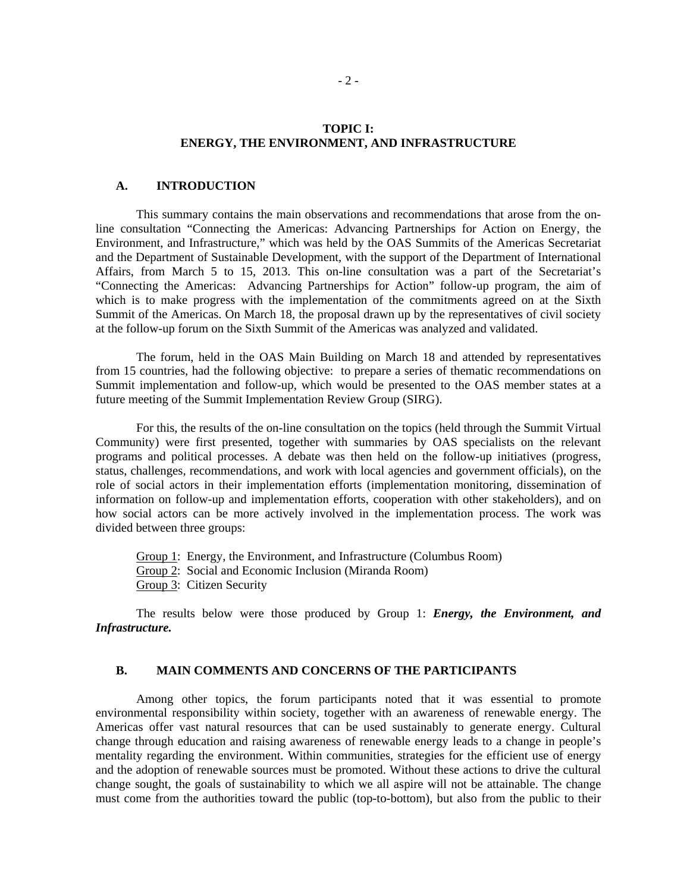#### **TOPIC I: ENERGY, THE ENVIRONMENT, AND INFRASTRUCTURE**

#### **A. INTRODUCTION**

This summary contains the main observations and recommendations that arose from the online consultation "Connecting the Americas: Advancing Partnerships for Action on Energy, the Environment, and Infrastructure," which was held by the OAS Summits of the Americas Secretariat and the Department of Sustainable Development, with the support of the Department of International Affairs, from March 5 to 15, 2013. This on-line consultation was a part of the Secretariat's "Connecting the Americas: Advancing Partnerships for Action" follow-up program, the aim of which is to make progress with the implementation of the commitments agreed on at the Sixth Summit of the Americas. On March 18, the proposal drawn up by the representatives of civil society at the follow-up forum on the Sixth Summit of the Americas was analyzed and validated.

The forum, held in the OAS Main Building on March 18 and attended by representatives from 15 countries, had the following objective: to prepare a series of thematic recommendations on Summit implementation and follow-up, which would be presented to the OAS member states at a future meeting of the Summit Implementation Review Group (SIRG).

For this, the results of the on-line consultation on the topics (held through the Summit Virtual Community) were first presented, together with summaries by OAS specialists on the relevant programs and political processes. A debate was then held on the follow-up initiatives (progress, status, challenges, recommendations, and work with local agencies and government officials), on the role of social actors in their implementation efforts (implementation monitoring, dissemination of information on follow-up and implementation efforts, cooperation with other stakeholders), and on how social actors can be more actively involved in the implementation process. The work was divided between three groups:

Group 1: Energy, the Environment, and Infrastructure (Columbus Room) Group 2: Social and Economic Inclusion (Miranda Room)

Group 3: Citizen Security

The results below were those produced by Group 1: *Energy, the Environment, and Infrastructure.*

#### **B. MAIN COMMENTS AND CONCERNS OF THE PARTICIPANTS**

Among other topics, the forum participants noted that it was essential to promote environmental responsibility within society, together with an awareness of renewable energy. The Americas offer vast natural resources that can be used sustainably to generate energy. Cultural change through education and raising awareness of renewable energy leads to a change in people's mentality regarding the environment. Within communities, strategies for the efficient use of energy and the adoption of renewable sources must be promoted. Without these actions to drive the cultural change sought, the goals of sustainability to which we all aspire will not be attainable. The change must come from the authorities toward the public (top-to-bottom), but also from the public to their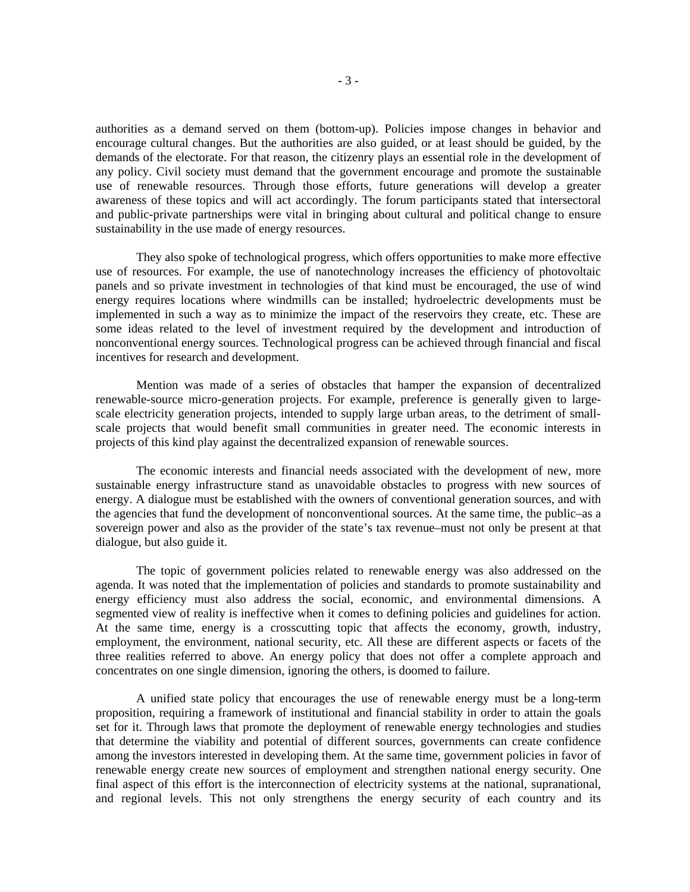authorities as a demand served on them (bottom-up). Policies impose changes in behavior and encourage cultural changes. But the authorities are also guided, or at least should be guided, by the demands of the electorate. For that reason, the citizenry plays an essential role in the development of any policy. Civil society must demand that the government encourage and promote the sustainable use of renewable resources. Through those efforts, future generations will develop a greater awareness of these topics and will act accordingly. The forum participants stated that intersectoral and public-private partnerships were vital in bringing about cultural and political change to ensure sustainability in the use made of energy resources.

They also spoke of technological progress, which offers opportunities to make more effective use of resources. For example, the use of nanotechnology increases the efficiency of photovoltaic panels and so private investment in technologies of that kind must be encouraged, the use of wind energy requires locations where windmills can be installed; hydroelectric developments must be implemented in such a way as to minimize the impact of the reservoirs they create, etc. These are some ideas related to the level of investment required by the development and introduction of nonconventional energy sources. Technological progress can be achieved through financial and fiscal incentives for research and development.

Mention was made of a series of obstacles that hamper the expansion of decentralized renewable-source micro-generation projects. For example, preference is generally given to largescale electricity generation projects, intended to supply large urban areas, to the detriment of smallscale projects that would benefit small communities in greater need. The economic interests in projects of this kind play against the decentralized expansion of renewable sources.

The economic interests and financial needs associated with the development of new, more sustainable energy infrastructure stand as unavoidable obstacles to progress with new sources of energy. A dialogue must be established with the owners of conventional generation sources, and with the agencies that fund the development of nonconventional sources. At the same time, the public–as a sovereign power and also as the provider of the state's tax revenue–must not only be present at that dialogue, but also guide it.

The topic of government policies related to renewable energy was also addressed on the agenda. It was noted that the implementation of policies and standards to promote sustainability and energy efficiency must also address the social, economic, and environmental dimensions. A segmented view of reality is ineffective when it comes to defining policies and guidelines for action. At the same time, energy is a crosscutting topic that affects the economy, growth, industry, employment, the environment, national security, etc. All these are different aspects or facets of the three realities referred to above. An energy policy that does not offer a complete approach and concentrates on one single dimension, ignoring the others, is doomed to failure.

A unified state policy that encourages the use of renewable energy must be a long-term proposition, requiring a framework of institutional and financial stability in order to attain the goals set for it. Through laws that promote the deployment of renewable energy technologies and studies that determine the viability and potential of different sources, governments can create confidence among the investors interested in developing them. At the same time, government policies in favor of renewable energy create new sources of employment and strengthen national energy security. One final aspect of this effort is the interconnection of electricity systems at the national, supranational, and regional levels. This not only strengthens the energy security of each country and its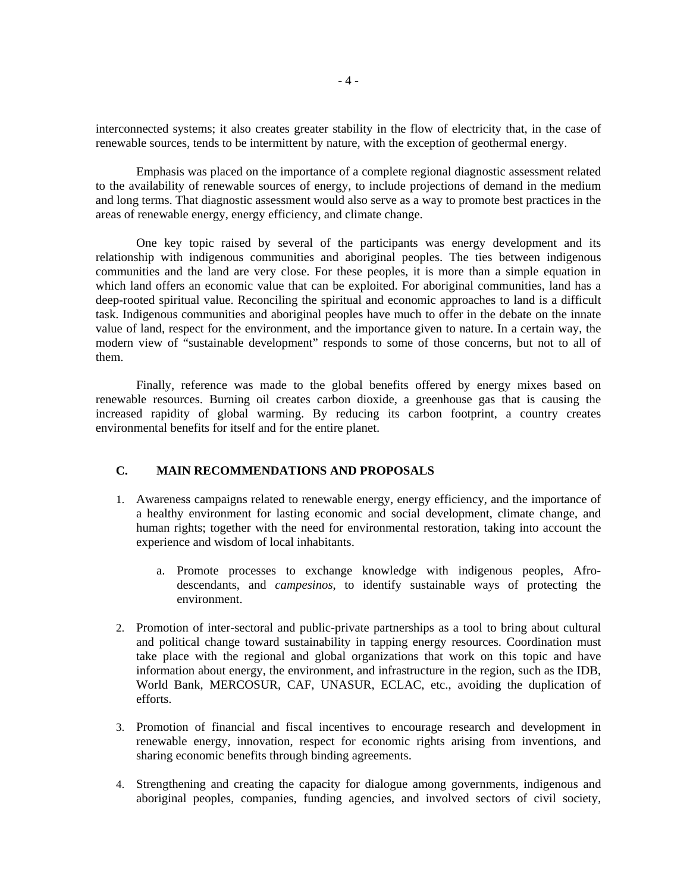interconnected systems; it also creates greater stability in the flow of electricity that, in the case of renewable sources, tends to be intermittent by nature, with the exception of geothermal energy.

Emphasis was placed on the importance of a complete regional diagnostic assessment related to the availability of renewable sources of energy, to include projections of demand in the medium and long terms. That diagnostic assessment would also serve as a way to promote best practices in the areas of renewable energy, energy efficiency, and climate change.

One key topic raised by several of the participants was energy development and its relationship with indigenous communities and aboriginal peoples. The ties between indigenous communities and the land are very close. For these peoples, it is more than a simple equation in which land offers an economic value that can be exploited. For aboriginal communities, land has a deep-rooted spiritual value. Reconciling the spiritual and economic approaches to land is a difficult task. Indigenous communities and aboriginal peoples have much to offer in the debate on the innate value of land, respect for the environment, and the importance given to nature. In a certain way, the modern view of "sustainable development" responds to some of those concerns, but not to all of them.

Finally, reference was made to the global benefits offered by energy mixes based on renewable resources. Burning oil creates carbon dioxide, a greenhouse gas that is causing the increased rapidity of global warming. By reducing its carbon footprint, a country creates environmental benefits for itself and for the entire planet.

#### **C. MAIN RECOMMENDATIONS AND PROPOSALS**

- 1. Awareness campaigns related to renewable energy, energy efficiency, and the importance of a healthy environment for lasting economic and social development, climate change, and human rights; together with the need for environmental restoration, taking into account the experience and wisdom of local inhabitants.
	- a. Promote processes to exchange knowledge with indigenous peoples, Afrodescendants, and *campesinos*, to identify sustainable ways of protecting the environment.
- 2. Promotion of inter-sectoral and public-private partnerships as a tool to bring about cultural and political change toward sustainability in tapping energy resources. Coordination must take place with the regional and global organizations that work on this topic and have information about energy, the environment, and infrastructure in the region, such as the IDB, World Bank, MERCOSUR, CAF, UNASUR, ECLAC, etc., avoiding the duplication of efforts.
- 3. Promotion of financial and fiscal incentives to encourage research and development in renewable energy, innovation, respect for economic rights arising from inventions, and sharing economic benefits through binding agreements.
- 4. Strengthening and creating the capacity for dialogue among governments, indigenous and aboriginal peoples, companies, funding agencies, and involved sectors of civil society,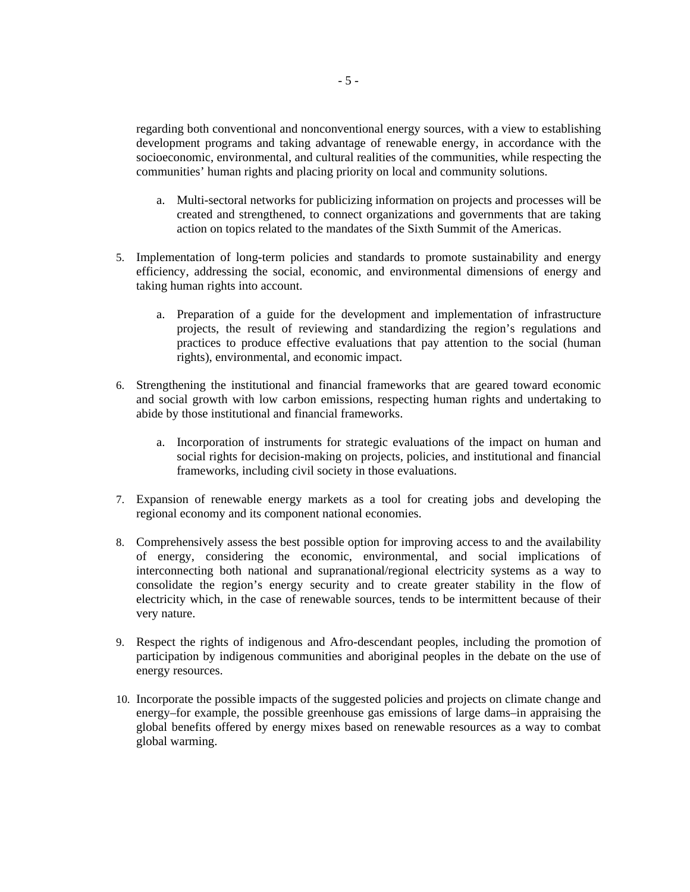regarding both conventional and nonconventional energy sources, with a view to establishing development programs and taking advantage of renewable energy, in accordance with the socioeconomic, environmental, and cultural realities of the communities, while respecting the communities' human rights and placing priority on local and community solutions.

- a. Multi-sectoral networks for publicizing information on projects and processes will be created and strengthened, to connect organizations and governments that are taking action on topics related to the mandates of the Sixth Summit of the Americas.
- 5. Implementation of long-term policies and standards to promote sustainability and energy efficiency, addressing the social, economic, and environmental dimensions of energy and taking human rights into account.
	- a. Preparation of a guide for the development and implementation of infrastructure projects, the result of reviewing and standardizing the region's regulations and practices to produce effective evaluations that pay attention to the social (human rights), environmental, and economic impact.
- 6. Strengthening the institutional and financial frameworks that are geared toward economic and social growth with low carbon emissions, respecting human rights and undertaking to abide by those institutional and financial frameworks.
	- a. Incorporation of instruments for strategic evaluations of the impact on human and social rights for decision-making on projects, policies, and institutional and financial frameworks, including civil society in those evaluations.
- 7. Expansion of renewable energy markets as a tool for creating jobs and developing the regional economy and its component national economies.
- 8. Comprehensively assess the best possible option for improving access to and the availability of energy, considering the economic, environmental, and social implications of interconnecting both national and supranational/regional electricity systems as a way to consolidate the region's energy security and to create greater stability in the flow of electricity which, in the case of renewable sources, tends to be intermittent because of their very nature.
- 9. Respect the rights of indigenous and Afro-descendant peoples, including the promotion of participation by indigenous communities and aboriginal peoples in the debate on the use of energy resources.
- 10. Incorporate the possible impacts of the suggested policies and projects on climate change and energy–for example, the possible greenhouse gas emissions of large dams–in appraising the global benefits offered by energy mixes based on renewable resources as a way to combat global warming.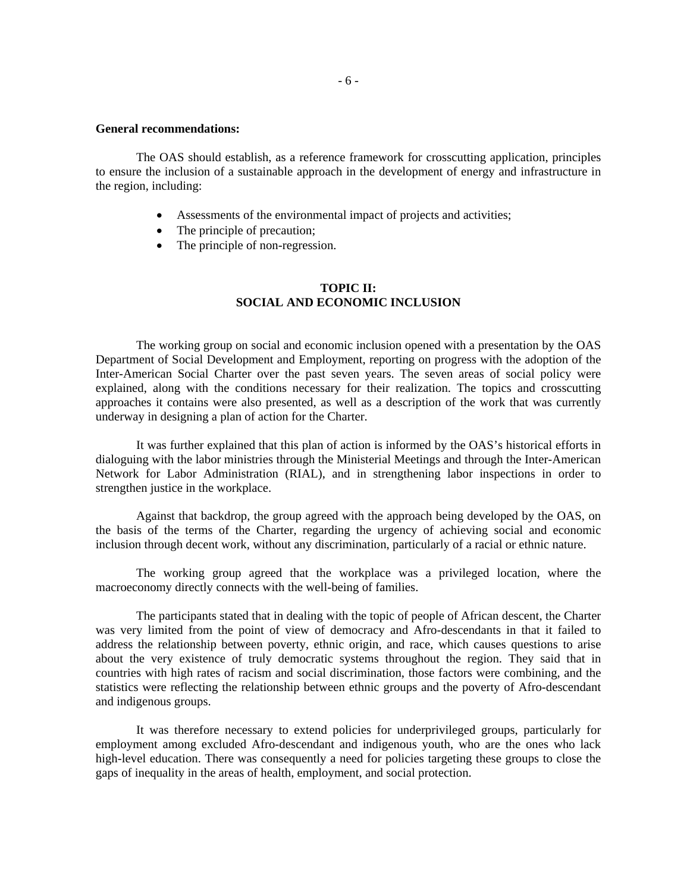#### **General recommendations:**

The OAS should establish, as a reference framework for crosscutting application, principles to ensure the inclusion of a sustainable approach in the development of energy and infrastructure in the region, including:

- Assessments of the environmental impact of projects and activities;
- The principle of precaution;
- The principle of non-regression.

## **TOPIC II: SOCIAL AND ECONOMIC INCLUSION**

The working group on social and economic inclusion opened with a presentation by the OAS Department of Social Development and Employment, reporting on progress with the adoption of the Inter-American Social Charter over the past seven years. The seven areas of social policy were explained, along with the conditions necessary for their realization. The topics and crosscutting approaches it contains were also presented, as well as a description of the work that was currently underway in designing a plan of action for the Charter.

It was further explained that this plan of action is informed by the OAS's historical efforts in dialoguing with the labor ministries through the Ministerial Meetings and through the Inter-American Network for Labor Administration (RIAL), and in strengthening labor inspections in order to strengthen justice in the workplace.

Against that backdrop, the group agreed with the approach being developed by the OAS, on the basis of the terms of the Charter, regarding the urgency of achieving social and economic inclusion through decent work, without any discrimination, particularly of a racial or ethnic nature.

The working group agreed that the workplace was a privileged location, where the macroeconomy directly connects with the well-being of families.

The participants stated that in dealing with the topic of people of African descent, the Charter was very limited from the point of view of democracy and Afro-descendants in that it failed to address the relationship between poverty, ethnic origin, and race, which causes questions to arise about the very existence of truly democratic systems throughout the region. They said that in countries with high rates of racism and social discrimination, those factors were combining, and the statistics were reflecting the relationship between ethnic groups and the poverty of Afro-descendant and indigenous groups.

It was therefore necessary to extend policies for underprivileged groups, particularly for employment among excluded Afro-descendant and indigenous youth, who are the ones who lack high-level education. There was consequently a need for policies targeting these groups to close the gaps of inequality in the areas of health, employment, and social protection.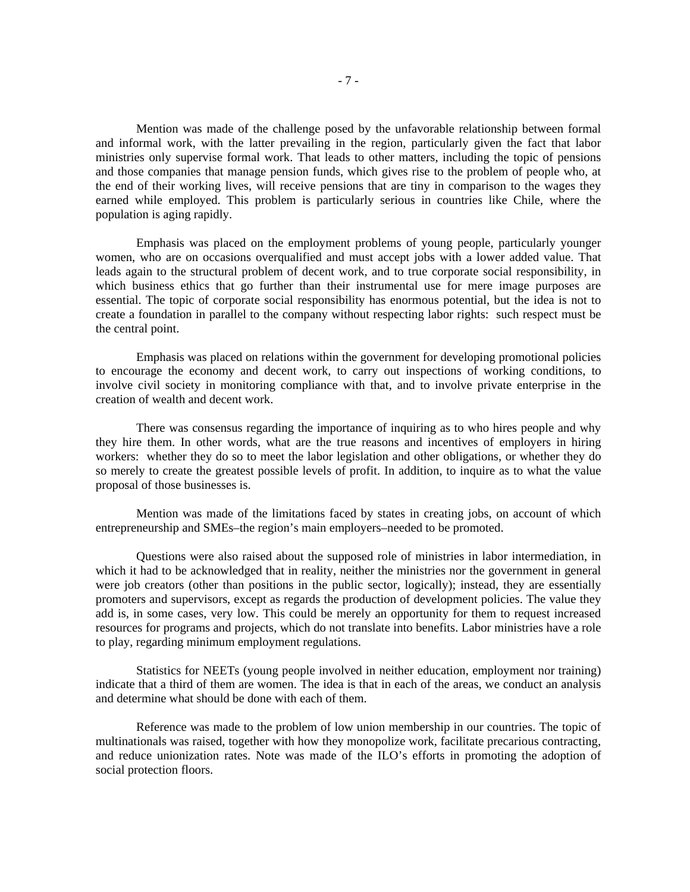Mention was made of the challenge posed by the unfavorable relationship between formal and informal work, with the latter prevailing in the region, particularly given the fact that labor ministries only supervise formal work. That leads to other matters, including the topic of pensions and those companies that manage pension funds, which gives rise to the problem of people who, at the end of their working lives, will receive pensions that are tiny in comparison to the wages they earned while employed. This problem is particularly serious in countries like Chile, where the population is aging rapidly.

Emphasis was placed on the employment problems of young people, particularly younger women, who are on occasions overqualified and must accept jobs with a lower added value. That leads again to the structural problem of decent work, and to true corporate social responsibility, in which business ethics that go further than their instrumental use for mere image purposes are essential. The topic of corporate social responsibility has enormous potential, but the idea is not to create a foundation in parallel to the company without respecting labor rights: such respect must be the central point.

Emphasis was placed on relations within the government for developing promotional policies to encourage the economy and decent work, to carry out inspections of working conditions, to involve civil society in monitoring compliance with that, and to involve private enterprise in the creation of wealth and decent work.

There was consensus regarding the importance of inquiring as to who hires people and why they hire them. In other words, what are the true reasons and incentives of employers in hiring workers: whether they do so to meet the labor legislation and other obligations, or whether they do so merely to create the greatest possible levels of profit. In addition, to inquire as to what the value proposal of those businesses is.

Mention was made of the limitations faced by states in creating jobs, on account of which entrepreneurship and SMEs–the region's main employers–needed to be promoted.

Questions were also raised about the supposed role of ministries in labor intermediation, in which it had to be acknowledged that in reality, neither the ministries nor the government in general were job creators (other than positions in the public sector, logically); instead, they are essentially promoters and supervisors, except as regards the production of development policies. The value they add is, in some cases, very low. This could be merely an opportunity for them to request increased resources for programs and projects, which do not translate into benefits. Labor ministries have a role to play, regarding minimum employment regulations.

Statistics for NEETs (young people involved in neither education, employment nor training) indicate that a third of them are women. The idea is that in each of the areas, we conduct an analysis and determine what should be done with each of them.

Reference was made to the problem of low union membership in our countries. The topic of multinationals was raised, together with how they monopolize work, facilitate precarious contracting, and reduce unionization rates. Note was made of the ILO's efforts in promoting the adoption of social protection floors.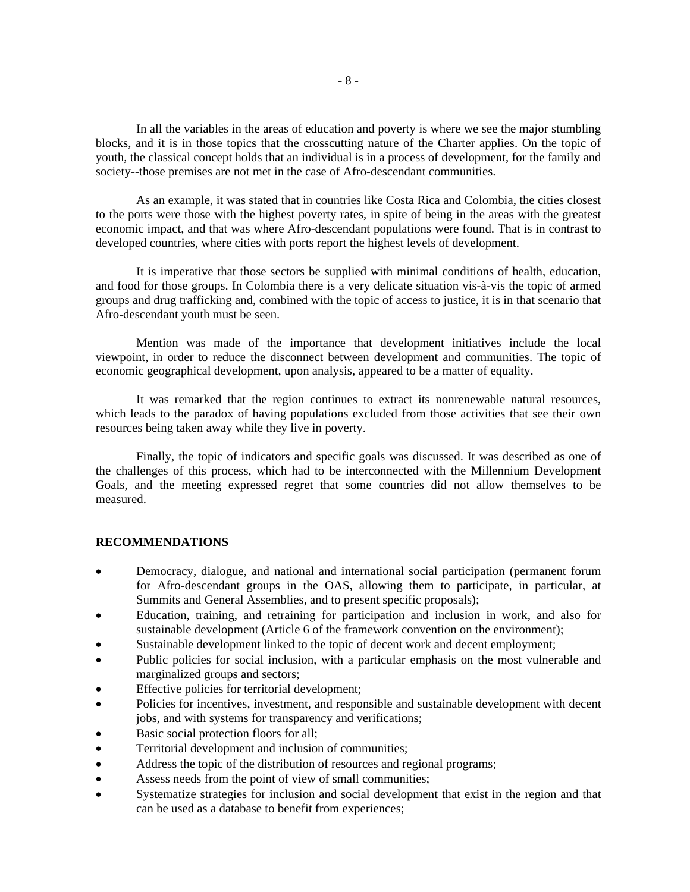In all the variables in the areas of education and poverty is where we see the major stumbling blocks, and it is in those topics that the crosscutting nature of the Charter applies. On the topic of youth, the classical concept holds that an individual is in a process of development, for the family and society--those premises are not met in the case of Afro-descendant communities.

As an example, it was stated that in countries like Costa Rica and Colombia, the cities closest to the ports were those with the highest poverty rates, in spite of being in the areas with the greatest economic impact, and that was where Afro-descendant populations were found. That is in contrast to developed countries, where cities with ports report the highest levels of development.

It is imperative that those sectors be supplied with minimal conditions of health, education, and food for those groups. In Colombia there is a very delicate situation vis-à-vis the topic of armed groups and drug trafficking and, combined with the topic of access to justice, it is in that scenario that Afro-descendant youth must be seen.

Mention was made of the importance that development initiatives include the local viewpoint, in order to reduce the disconnect between development and communities. The topic of economic geographical development, upon analysis, appeared to be a matter of equality.

It was remarked that the region continues to extract its nonrenewable natural resources, which leads to the paradox of having populations excluded from those activities that see their own resources being taken away while they live in poverty.

Finally, the topic of indicators and specific goals was discussed. It was described as one of the challenges of this process, which had to be interconnected with the Millennium Development Goals, and the meeting expressed regret that some countries did not allow themselves to be measured.

#### **RECOMMENDATIONS**

- Democracy, dialogue, and national and international social participation (permanent forum for Afro-descendant groups in the OAS, allowing them to participate, in particular, at Summits and General Assemblies, and to present specific proposals);
- Education, training, and retraining for participation and inclusion in work, and also for sustainable development (Article 6 of the framework convention on the environment);
- Sustainable development linked to the topic of decent work and decent employment;
- Public policies for social inclusion, with a particular emphasis on the most vulnerable and marginalized groups and sectors;
- Effective policies for territorial development;
- Policies for incentives, investment, and responsible and sustainable development with decent jobs, and with systems for transparency and verifications;
- Basic social protection floors for all;
- Territorial development and inclusion of communities;
- Address the topic of the distribution of resources and regional programs;
- Assess needs from the point of view of small communities;
- Systematize strategies for inclusion and social development that exist in the region and that can be used as a database to benefit from experiences;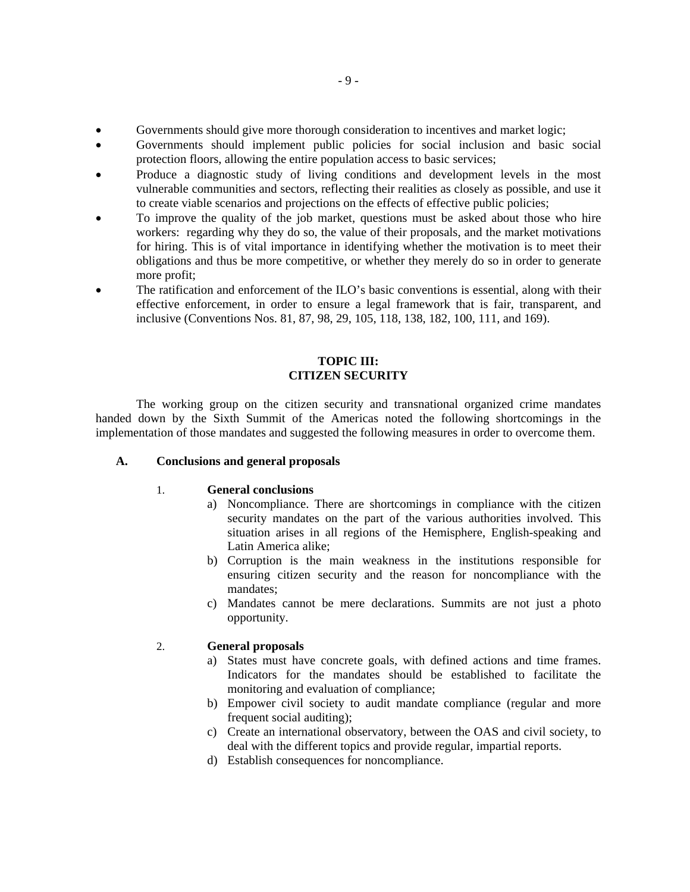- Governments should give more thorough consideration to incentives and market logic;
- Governments should implement public policies for social inclusion and basic social protection floors, allowing the entire population access to basic services;
- Produce a diagnostic study of living conditions and development levels in the most vulnerable communities and sectors, reflecting their realities as closely as possible, and use it to create viable scenarios and projections on the effects of effective public policies;
- To improve the quality of the job market, questions must be asked about those who hire workers: regarding why they do so, the value of their proposals, and the market motivations for hiring. This is of vital importance in identifying whether the motivation is to meet their obligations and thus be more competitive, or whether they merely do so in order to generate more profit;
- The ratification and enforcement of the ILO's basic conventions is essential, along with their effective enforcement, in order to ensure a legal framework that is fair, transparent, and inclusive (Conventions Nos. 81, 87, 98, 29, 105, 118, 138, 182, 100, 111, and 169).

## **TOPIC III: CITIZEN SECURITY**

The working group on the citizen security and transnational organized crime mandates handed down by the Sixth Summit of the Americas noted the following shortcomings in the implementation of those mandates and suggested the following measures in order to overcome them.

## **A. Conclusions and general proposals**

# 1. **General conclusions**

- a) Noncompliance. There are shortcomings in compliance with the citizen security mandates on the part of the various authorities involved. This situation arises in all regions of the Hemisphere, English-speaking and Latin America alike;
- b) Corruption is the main weakness in the institutions responsible for ensuring citizen security and the reason for noncompliance with the mandates;
- c) Mandates cannot be mere declarations. Summits are not just a photo opportunity.

## 2. **General proposals**

- a) States must have concrete goals, with defined actions and time frames. Indicators for the mandates should be established to facilitate the monitoring and evaluation of compliance;
- b) Empower civil society to audit mandate compliance (regular and more frequent social auditing);
- c) Create an international observatory, between the OAS and civil society, to deal with the different topics and provide regular, impartial reports.
- d) Establish consequences for noncompliance.